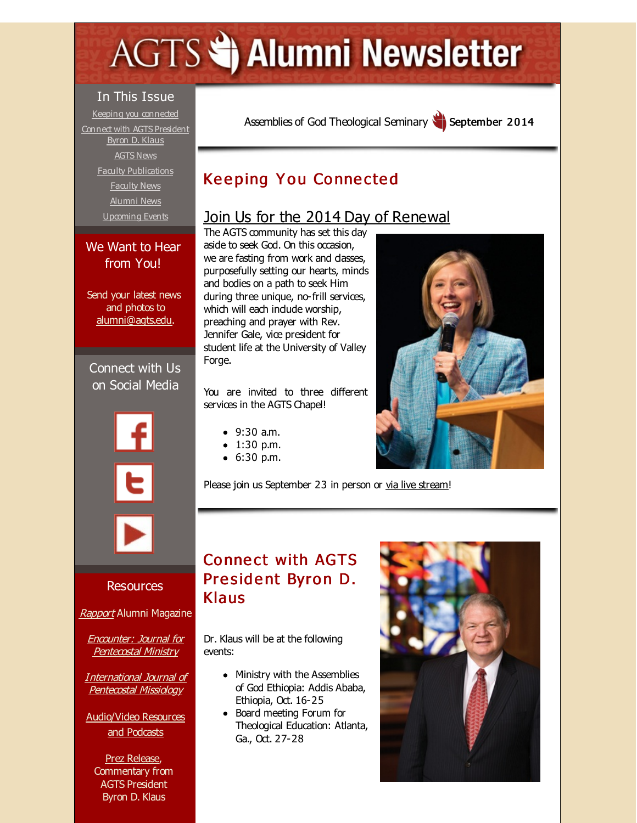# <span id="page-0-0"></span>**AGTS Statement Newsletter**

#### In This Issue

Keeping you [connected](#page-0-0) Connect with AGTS [President](#page-0-0) Byron D. Klaus [AGTS](#page-0-0) News Faculty [Publications](#page-0-0) [Faculty](#page-0-0) News [Alumni](#page-0-0) News [Upcoming](#page-0-0) Events

### We Want to Hear from You!

Send your latest news and photos to [alumni@agts.edu](mailto:alumni@agts.edu).

Connect with Us on Social Media







Resources

[Rapport](http://r20.rs6.net/tn.jsp?f=0015J-gOG6orRa_OYqMSe0NYMsg5PK-e_j0hiGw3cv1bnooZTwF1_D2RjdaqYffjQE6KbSjPrZ_5rLFO5D4lB5xqIwArSLLxlS3s2pSXv8Ozc1V-zwsdbg0clNcfvfKWhRxw60saEEmEOzrUaURBnFltlXUtusvrDGXmPUE34DEfuQUCmtv2vpBCOoet6FQ-9o6&c=&ch=) Alumni Magazine

Encounter: Journal for **[Pentecostal](http://r20.rs6.net/tn.jsp?f=0015J-gOG6orRa_OYqMSe0NYMsg5PK-e_j0hiGw3cv1bnooZTwF1_D2Riqc1zXByqDbbI5JLynZGwMrXpGX7YGzQktZ1jndYUcxJJFYfNsV5BANVJ54va_2KPNEbV5lFbpRLcsqEoFJJkF8ZIjzuREUv5ARjE7XxRvegoWgienTC5gAF82ULUx12GHDW2SviTaN&c=&ch=) Ministry** 

[International](http://r20.rs6.net/tn.jsp?f=0015J-gOG6orRa_OYqMSe0NYMsg5PK-e_j0hiGw3cv1bnooZTwF1_D2RogwR5AsCwnw_6KFPtz8fPXhmpT6eJ4YdO_ccAqmwMCk7u5wBkzyFHfobjqp7g3NJJS8qPCgSh-CxGffkxWs7X0GHcZXssYeHgvvIIHVlZyR8p0kj1WIOSq_d5hrnlZVebWvraOBAc4y&c=&ch=) Journal of Pentecostal Missiology

[Audio/Video](http://r20.rs6.net/tn.jsp?f=0015J-gOG6orRa_OYqMSe0NYMsg5PK-e_j0hiGw3cv1bnooZTwF1_D2Rr3KWMM3S0YqyFwttwC87V8uqYnhhNab_VTG4sH75pdhBg9StydKa_4osxsWW55jqGmjJg0xGF89MDDDX1bBo5m-6m0092asrP7sNkI8E9CsrV6MnQmPtOxlUMh-ILe5HSrjLL5MG3D9&c=&ch=) Resources and Podcasts

Prez [Release](http://r20.rs6.net/tn.jsp?f=0015J-gOG6orRa_OYqMSe0NYMsg5PK-e_j0hiGw3cv1bnooZTwF1_D2Rv7FKT9qqUVrE47jfiZiVHiJdw_weASVBS-sJhpyk37O0geqs1hYgvlK8lqpIkZQ0KEFLARQV7K32Vz00dgwzvbGH7yS3hJhkWyyAO5XoKK4ZmyZgzydFofFody_xrbgDhfp9qyA34uzkgwczOU5Oc0=&c=&ch=), Commentary from AGTS President Byron D. Klaus

Assemblies of God [Theological](http://r20.rs6.net/tn.jsp?f=0015J-gOG6orRa_OYqMSe0NYMsg5PK-e_j0hiGw3cv1bnooZTwF1_D2Rluu4i0AW8rK9ec0q03rdzq4ayf0vQsWYeAHaMqg2Uzo6lZfWVhCePfCA-0SbRSCCgWtH63vbfkzfUSd2Km0o15Vk_AiHWtNUmzzfhEY9Zcn&c=&ch=) Seminary September 2014

# **Keeping You Connected**

## Join Us for the 2014 Day of [Renewal](http://r20.rs6.net/tn.jsp?f=0015J-gOG6orRa_OYqMSe0NYMsg5PK-e_j0hiGw3cv1bnooZTwF1_D2Rn0zt789PVOt2bDjQksxu3AMm86H1f1Agho4KSN1WDZ7t6Lhj04YCa6n-gaQZI3ovlS3RGw4QaR0oOrF5jhcCy_bvb5UoBECiu7t4qir1CQU48XVjJp7_1d2WGglAYL5ElGNmttBvqP7893m9Yum8yte9YEFXG73HuBO1iFLDn_B&c=&ch=)

The AGTS community has set this day aside to seek God. On this occasion, we are fasting from work and dasses, purposefully setting our hearts, minds and bodies on a path to seek Him during three unique, no-frill services, which will each indude worship, preaching and prayer with Rev. Jennifer Gale, vice president for student life at the University of Valley Forge.

You are invited to three different services in the AGTS Chapel!

- 9:30 a.m.
- 1:30 p.m.
- 6:30 p.m.

Please join us September 23 in person or via live [stream](http://r20.rs6.net/tn.jsp?f=0015J-gOG6orRa_OYqMSe0NYMsg5PK-e_j0hiGw3cv1bnooZTwF1_D2Rn0zt789PVOt2bDjQksxu3AMm86H1f1Agho4KSN1WDZ7t6Lhj04YCa6n-gaQZI3ovlS3RGw4QaR0oOrF5jhcCy_bvb5UoBECiu7t4qir1CQU48XVjJp7_1d2WGglAYL5ElGNmttBvqP7893m9Yum8yte9YEFXG73HuBO1iFLDn_B&c=&ch=)!

# **Connect with AGTS** President Byron D. Klaus

Dr. Klaus will be at the following events:

- Ministry with the Assemblies of God Ethiopia: Addis Ababa, Ethiopia, Oct. 16-25
- Board meeting Forum for Theological Education: Atlanta, Ga., Oct. 27-28



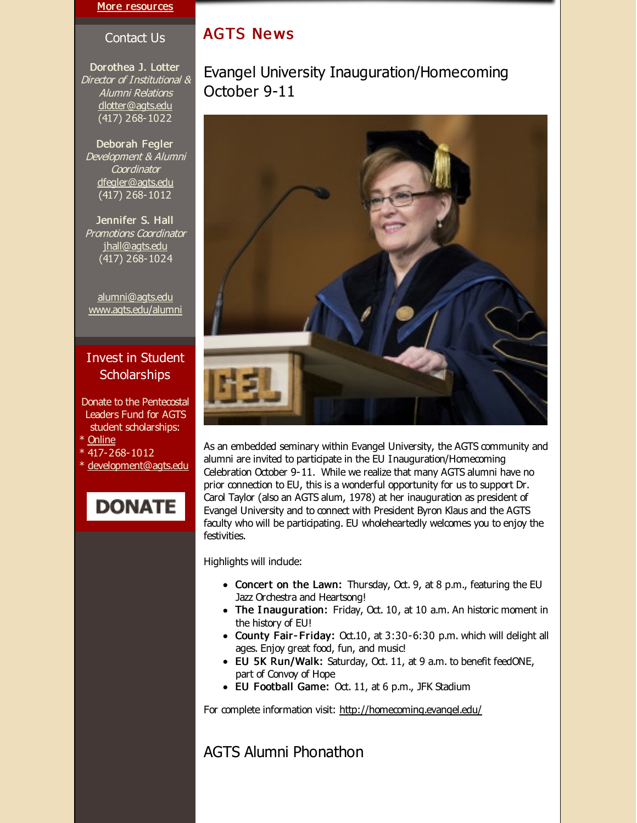#### More [resources](http://r20.rs6.net/tn.jsp?f=0015J-gOG6orRa_OYqMSe0NYMsg5PK-e_j0hiGw3cv1bnooZTwF1_D2RliIK2_JCEYf3FwgX0VrQ_mjclLWssWAvyKTruDiPqrFcMlD586MsOehwJ8WGo1LyU4q6PxEeWIcDb9jxQy2cNUYnIfppKLNCYDiEWax4_ldsGVoMyzkJwaKDy99WlcLdBqtZPJESKmyPSUaoJW6wdU=&c=&ch=)

#### Contact Us

Dorothea J. Lotter Director of Institutional & Alumni Relations [dlotter@agts.edu](mailto:dlotter@agts.edu) (417) 268-1022

Deborah Fegler Development & Alumni **Coordinator** [dfegler@agts.edu](mailto:dfegler@agts.edu) (417) 268-1012

Jennifer S. Hall Promotions Coordinator [jhall@agts.edu](mailto:jhall@agts.edu) (417) 268-1024

[alumni@agts.edu](mailto:alumni@agts.edu) [www.agts.edu/alumni](http://r20.rs6.net/tn.jsp?f=0015J-gOG6orRa_OYqMSe0NYMsg5PK-e_j0hiGw3cv1bnooZTwF1_D2RtA1xVW4k2fFRx1aZ-ptAyExTu7hUCH-2FgKxe43nm-5kaqQw3wVn_ooMQKi4mU40nqQNIZUvOOLp0hJ5lcntwNuOwMXijY-cpABskVbVY2M5gkO90uXoGyUartcuPX37Q==&c=&ch=)

#### Invest in Student **Scholarships**

- Donate to the Pentecostal Leaders Fund for AGTS student scholarships: \* [Online](http://r20.rs6.net/tn.jsp?f=0015J-gOG6orRa_OYqMSe0NYMsg5PK-e_j0hiGw3cv1bnooZTwF1_D2Rj0Vuc6I9UZlWCBQYI5nbpIxHkY7N5vGXYQOI8w-ySJ5C3yZSjFo2nhAmWo38sBlFpslKapwQE_wJzl5JT6ZMZjGU0OniB_uoUE215vSMf-jpPL0c4XwL3YnbjH94vO1ELv9p0up8N5kD44h_qfea1unhAmBwH3bpg==&c=&ch=)
- \* 417-268-1012
- \* [development@agts.edu](mailto:development@agts.edu)

# **DONATE**

## **AGTS News**

Evangel University Inauguration/Homecoming October 9-11



As an embedded seminary within Evangel University, the AGTS community and alumni are invited to participate in the EU Inauguration/Homecoming Celebration October 9-11. While we realize that many AGTS alumni have no prior connection to EU, this is a wonderful opportunity for us to support Dr. Carol Taylor (also an AGTS alum, 1978) at her inauguration as president of Evangel University and to connect with President Byron Klaus and the AGTS faculty who will be participating. EU wholeheartedly welcomes you to enjoy the festivities.

Highlights will indude:

- Concert on the Lawn: Thursday, Oct. 9, at 8 p.m., featuring the EU Jazz Orchestra and Heartsong!
- The Inauguration: Friday, Oct. 10, at 10 a.m. An historic moment in the history of EU!
- County Fair-Friday: Oct.10, at 3:30-6:30 p.m. which will delight all ages. Enjoy great food, fun, and music!
- EU 5K Run/Walk: Saturday, Oct. 11, at 9 a.m. to benefit feedONE, part of Convoy of Hope
- EU Football Game: Oct. 11, at 6 p.m., JFK Stadium

For complete information visit: [http://homecoming.evangel.edu/](http://r20.rs6.net/tn.jsp?f=0015J-gOG6orRa_OYqMSe0NYMsg5PK-e_j0hiGw3cv1bnooZTwF1_D2Rn0zt789PVOtKxIzhugfupuWUgRiKwZhrm66gDCPRpyrQvIE3qbrjAkSw4SYO1y-b406ikR_iAdpe4gPwp-UUdAj9caGhGceeXyop-bqyP1syM9tvkLWa6utxyVgRqaJEw==&c=&ch=)

AGTS Alumni Phonathon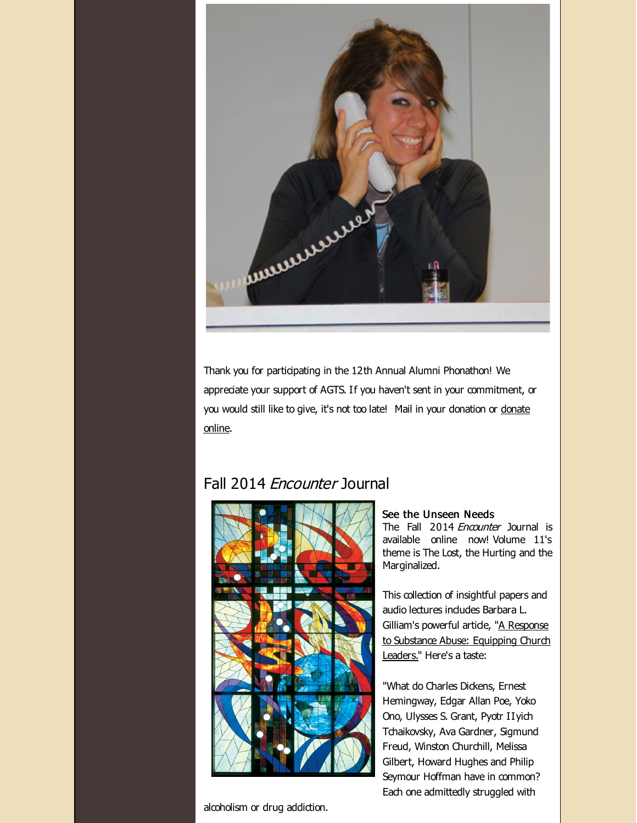

Thank you for participating in the 12th Annual Alumni Phonathon! We appreciate your support of AGTS. If you haven't sent in your commitment, or you would still like to give, it's not too late! Mail in your [donation](http://r20.rs6.net/tn.jsp?f=0015J-gOG6orRa_OYqMSe0NYMsg5PK-e_j0hiGw3cv1bnooZTwF1_D2RqdTren-Asg8RUqx4k3H_KUrw6Dnp7cDy9qlSaf8lgfxMjrPoqgJxlxp4GPo_FYX6ue_kYrhNP0LICIn35Lki-FYqcSlEmMH_1FbN3cQUZ970bUd2JxgTuQkoDF05rwDD_C_OWK43wlorYP0qA0WRirfxxTy6pDua-ITzr7BVwUQ&c=&ch=) or donate online.

## Fall 2014 *Encounter* Journal



#### alcoholism or drug addiction.

#### See the Unseen Needs

The Fall 2014 Encounter Journal is available online now! Volume 11's theme is The Lost, the Hurting and the Marginalized.

This collection of insightful papers and audio lectures indudes Barbara L. Gilliam's powerful artide, "A Response to Substance Abuse: [Equipping](http://r20.rs6.net/tn.jsp?f=0015J-gOG6orRa_OYqMSe0NYMsg5PK-e_j0hiGw3cv1bnooZTwF1_D2Rn0zt789PVOtux4SKSM6oTfC3VzxiJUbPbx7mxfyGDLVYrrKwubgfDoYzx1L33OuZylUhmDq7okttCpjUN2QslCwVA1nicCYI8QH0BkdGg-xIiPWGEfaTZi6mSDvmbHxHxXqTbCz5oYNDE-65qd45psHSaKBSCr_k4bZsJO4Fk3rENol7OvzrKif3CfgMmJMxPLXcrCh3qeT&c=&ch=) Church Leaders." Here's a taste:

"What do Charles Dickens, Ernest Hemingway, Edgar Allan Poe, Yoko Ono, Ulysses S. Grant, Pyotr IIyich Tchaikovsky, Ava Gardner, Sigmund Freud, Winston Churchill, Melissa Gilbert, Howard Hughes and Philip Seymour Hoffman have in common? Each one admittedly struggled with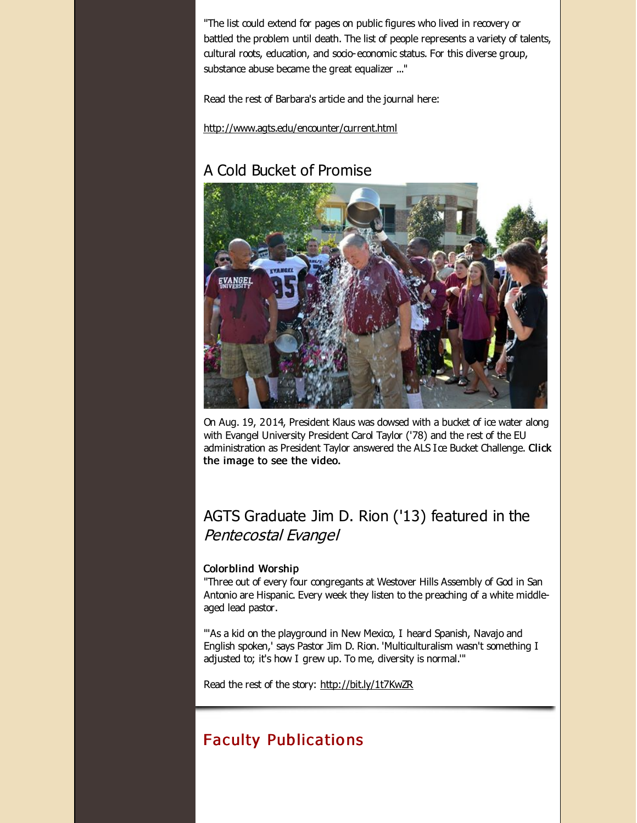"The list could extend for pages on public figures who lived in recovery or battled the problem until death. The list of people represents a variety of talents, cultural roots, education, and socio-economic status. For this diverse group, substance abuse became the great equalizer ..."

Read the rest of Barbara's artide and the journal here:

[http://www.agts.edu/encounter/current.html](http://r20.rs6.net/tn.jsp?f=0015J-gOG6orRa_OYqMSe0NYMsg5PK-e_j0hiGw3cv1bnooZTwF1_D2RpzOibwuW6IefMuqZt0GQ3x8FpO9aqPWkPiLuR50bgPHVcSqYp3fTvrwgKaiYfgdqGq7U2q772nT1VPCFdbNf3Rt44324fdXQ06fByfK-TgI05ryMdG80btUnxfDdaIW3-uFs4x4biU2eXeFXhmFJc0=&c=&ch=)

# A Cold Bucket of Promise



On Aug. 19, 2014, President Klaus was dowsed with a bucket of ice water along with Evangel University President Carol Taylor ('78) and the rest of the EU administration as President Taylor answered the ALS Ice Bucket Challenge. Click the image to see the video.

## AGTS Graduate Jim D. Rion ('13) featured in the Pentecostal Evangel

#### Colorblind Worship

"Three out of every four congregants at Westover Hills Assembly of God in San Antonio are Hispanic. Every week they listen to the preaching of a white middleaged lead pastor.

"'As a kid on the playground in New Mexico, I heard Spanish, Navajo and English spoken,' says Pastor Jim D. Rion. 'Multiculturalism wasn't something I adjusted to; it's how I grew up. To me, diversity is normal.'"

Read the rest of the story: [http://bit.ly/1t7KwZR](http://r20.rs6.net/tn.jsp?f=0015J-gOG6orRa_OYqMSe0NYMsg5PK-e_j0hiGw3cv1bnooZTwF1_D2Rh3ddN3B9NlXkdo5-erjXvoAH49GViqvwMv_6rF5U0Lv71ayRHH5Oelk5uKSH9cVTHS2KqYRgxZf9r6QETgwinOyBU4n80tkDntVtkY_xEiQbSB990uL3dk=&c=&ch=)

# Faculty Publicatio ns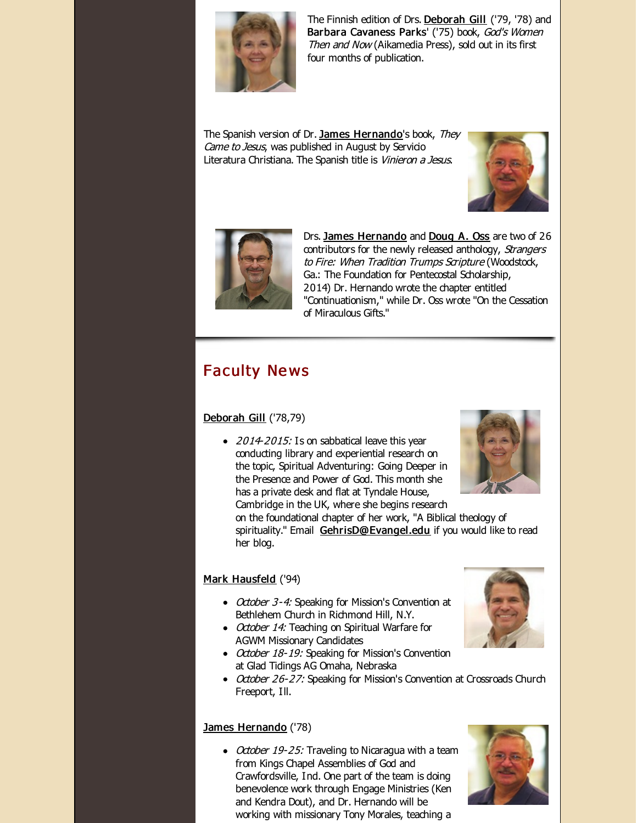

The Finnish edition of Drs. [Deborah](http://r20.rs6.net/tn.jsp?f=0015J-gOG6orRa_OYqMSe0NYMsg5PK-e_j0hiGw3cv1bnooZTwF1_D2RtzFWY4_YBScoBT976Cvxozp4UwjKDIxfu7LDI9TAfXD0DltdFiMEm_acLOxuBAlh_3BYKmjwLkFtN_gIInryeTYDQ8TGc21GHk0D2EeQNrg21KZ6v5iHgM2jsy-e1gAXxqZ2L4ObIl5&c=&ch=) Gill ('79, '78) and Barbara Cavaness Parks' ('75) book, God's Women Then and Now (Aikamedia Press), sold out in its first four months of publication.

The Spanish version of Dr. James [Hernando](http://r20.rs6.net/tn.jsp?f=0015J-gOG6orRa_OYqMSe0NYMsg5PK-e_j0hiGw3cv1bnooZTwF1_D2RvfxBokAkhZwiY8ClXZwmeA-LpvtsrywovhCBSdtaUjCL99tLrpYUdQPtpIPCpSCPxovhZRLNBk_b48glxTx2OCTq6XEY5uBloSl8QerbgAMKFQvSx5EvY6HzceeoHm29US_XcqcsfGmCYZEJrQkYwc=&c=&ch=)'s book, They Came to Jesus, was published in August by Servicio Literatura Christiana. The Spanish title is Vinieron a Jesus.





Drs. James [Hernando](http://r20.rs6.net/tn.jsp?f=0015J-gOG6orRa_OYqMSe0NYMsg5PK-e_j0hiGw3cv1bnooZTwF1_D2RvfxBokAkhZwiY8ClXZwmeA-LpvtsrywovhCBSdtaUjCL99tLrpYUdQPtpIPCpSCPxovhZRLNBk_b48glxTx2OCTq6XEY5uBloSl8QerbgAMKFQvSx5EvY6HzceeoHm29US_XcqcsfGmCYZEJrQkYwc=&c=&ch=) and [Doug](http://r20.rs6.net/tn.jsp?f=0015J-gOG6orRa_OYqMSe0NYMsg5PK-e_j0hiGw3cv1bnooZTwF1_D2Rq268SXRODdkr0faBMH_wLNS5kwTE_wY1vNUhX_LuBHKJyS-C4hW57Wu4ueZGdi6YVrKK9Vgbkw1iOFTWrxqSah6InJLFLVp3ZjbHz_xJckQLnwBNrMUqMI1ccoC7BOCW-FSnVeRC3Ei&c=&ch=) A. Oss are two of 26 contributors for the newly released anthology, Strangers to Fire: When Tradition Trumps Scripture (Woodstock, Ga.: The Foundation for Pentecostal Scholarship, 2014) Dr. Hernando wrote the chapter entitled "Continuationism," while Dr. Oss wrote "On the Cessation of Miraculous Gifts."

# **Faculty News**

#### [Deborah](http://r20.rs6.net/tn.jsp?f=0015J-gOG6orRa_OYqMSe0NYMsg5PK-e_j0hiGw3cv1bnooZTwF1_D2RtzFWY4_YBScoBT976Cvxozp4UwjKDIxfu7LDI9TAfXD0DltdFiMEm_acLOxuBAlh_3BYKmjwLkFtN_gIInryeTYDQ8TGc21GHk0D2EeQNrg21KZ6v5iHgM2jsy-e1gAXxqZ2L4ObIl5&c=&ch=) Gill ('78,79)

 $\bullet$  2014-2015: Is on sabbatical leave this year conducting library and experiential research on the topic, Spiritual Adventuring: Going Deeper in the Presence and Power of God. This month she has a private desk and flat at Tyndale House, Cambridge in the UK, where she begins research

on the foundational chapter of her work, "A Biblical theology of spirituality." Email [GehrisD@Evangel.edu](mailto:GehrisD@Evangel.edu) if you would like to read her blog.

#### Mark [Hausfeld](http://r20.rs6.net/tn.jsp?f=0015J-gOG6orRa_OYqMSe0NYMsg5PK-e_j0hiGw3cv1bnooZTwF1_D2RhNi0NcX6yg6MlOf-MDk60h2w_r1Mm1G2L6q3eznYyFsZyNTIeAOwzrpy1_7n-qF1E52hhWkCOButF59yhia9zw6jsY9gN54WZSU0EczBRIsVBots7LOhVksYmAClGjFDpWXJUXhOQLZzSAa3X1HEF8=&c=&ch=) ('94)

- October 3-4: Speaking for Mission's Convention at Bethlehem Church in Richmond Hill, N.Y.
- October 14: Teaching on Spiritual Warfare for AGWM Missionary Candidates
- October 18-19: Speaking for Mission's Convention at Glad Tidings AG Omaha, Nebraska
- October 26-27: Speaking for Mission's Convention at Crossroads Church Freeport, Ill.

#### James [Hernando](http://r20.rs6.net/tn.jsp?f=0015J-gOG6orRa_OYqMSe0NYMsg5PK-e_j0hiGw3cv1bnooZTwF1_D2RvfxBokAkhZwiY8ClXZwmeA-LpvtsrywovhCBSdtaUjCL99tLrpYUdQPtpIPCpSCPxovhZRLNBk_b48glxTx2OCTq6XEY5uBloSl8QerbgAMKFQvSx5EvY6HzceeoHm29US_XcqcsfGmCYZEJrQkYwc=&c=&ch=) ('78)

 $\bullet$  *October 19-25:* Traveling to Nicaragua with a team from Kings Chapel Assemblies of God and Crawfordsville, Ind. One part of the team is doing benevolence work through Engage Ministries (Ken and Kendra Dout), and Dr. Hernando will be working with missionary Tony Morales, teaching a



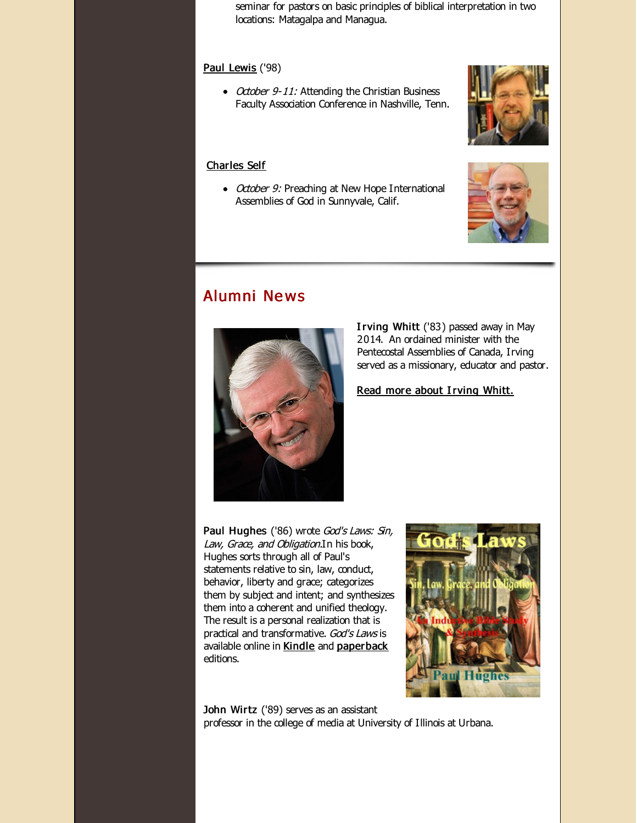seminar for pastors on basic principles of biblical interpretation in two locations: Matagalpa and Managua.

#### Paul [Lewis](http://r20.rs6.net/tn.jsp?f=0015J-gOG6orRa_OYqMSe0NYMsg5PK-e_j0hiGw3cv1bnooZTwF1_D2RvYUbTpwUapb5Jw0ZaVls9gSOalPBqzXLPCHX8SrYBR8QXcQhPCJk-VPuEGJ5VO6b9RnLZJcq6YgmiogR7EVFKPTd3Hk0P-h0MjbCOTMhr2fN6wzpM7_mRO69AGEPUMy-pOYFaD0xxFW&c=&ch=) ('98)

• October 9-11: Attending the Christian Business Faculty Association Conference in Nashville, Tenn.

#### [Charles](http://r20.rs6.net/tn.jsp?f=0015J-gOG6orRa_OYqMSe0NYMsg5PK-e_j0hiGw3cv1bnooZTwF1_D2RoG50Nvx0pDW7v-sOk4VBfsT-FX3zPjR-FKIE63EbiTjLiMfkhJT4nsWjLbPLur7tbX0IV4AIiSZjq2reMmD3f7Ac1AJlP4bNTJbTDiN0XBfkfcjKVsyxTfczfVSQaqE_uBB7rsJhUf1&c=&ch=) Self

• October 9: Preaching at New Hope International Assemblies of God in Sunnyvale, Calif.

## Alumni Ne ws



Irving Whitt ('83) passed away in May 2014. An ordained minister with the Pentecostal Assemblies of Canada, Irving served as a missionary, educator and pastor.

Read more about [Irving](http://r20.rs6.net/tn.jsp?f=0015J-gOG6orRa_OYqMSe0NYMsg5PK-e_j0hiGw3cv1bnooZTwF1_D2Rh3ddN3B9NlXt-LWrc_ZyrnDPVntKOQvk3lgyuhXQls0jzgGqpx4AN8q4_WZtUvDpFSwjk8vfB25z0qIZqa8z-tPjJoGHgCGLjCgfhrrBwlVmy8VDY_SN770IwN_NFQsVVkSn4fzSTHufcAnrAbhN_bl4njK7m8UyBKjWlLyB3HqtC5PzM0wnww=&c=&ch=) Whitt.

Paul Hughes ('86) wrote God's Laws: Sin, Law, Grace, and Obligation. In his book, Hughes sorts through all of Paul's statements relative to sin, law, conduct, behavior, liberty and grace; categorizes them by subject and intent; and synthesizes them into a coherent and unified theology. The result is a personal realization that is practical and transformative. God's Laws is available online in [Kindle](http://r20.rs6.net/tn.jsp?f=0015J-gOG6orRa_OYqMSe0NYMsg5PK-e_j0hiGw3cv1bnooZTwF1_D2RtKdle5AOyQUiJKNkOG06B4LZZDs7rVF8XDLsjy_3SqKPyze2gtkWJgwSxzyFBrCab09axVdN1mdYgxarod7F956bjiZgj_Z4bOwlfBShF38db2aAoK2YE_2d2800JASDZzCxT4XVJ-qe9MOWEpuW69HWOQgaGvBiCT7wlBiCySpumnLQUDGMwnE95fDQByF7w==&c=&ch=) and [paperback](http://r20.rs6.net/tn.jsp?f=0015J-gOG6orRa_OYqMSe0NYMsg5PK-e_j0hiGw3cv1bnooZTwF1_D2RtKdle5AOyQU8u49lYd3aeWUqUJYSZE-R3oJ-sg4pu4kH2xguuqWh2c0FNeiBH-H63I7NM7O2QzyWwmgbFT06b3fXqtD4GOsXFSc3_weutkLmkC5dAxBcdSbSC293B_NS5Uu4rte4Im0AeuLglnDh1DFIiJFVpYz-d_PqIK42grU4Eg7CAgzzVMmkcAmuiwfMQ==&c=&ch=) editions.



John Wirtz ('89) serves as an assistant professor in the college of media at University of Illinois at Urbana.



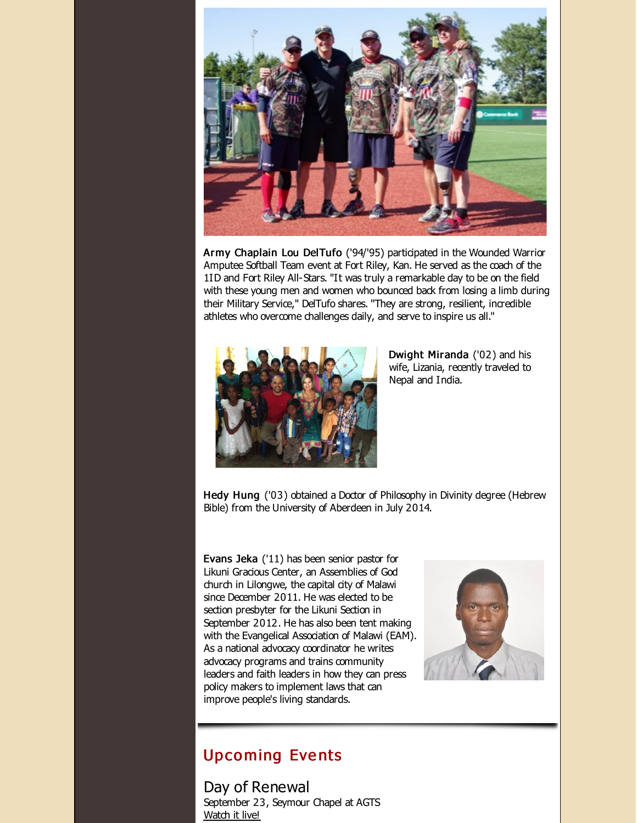

Army Chaplain Lou DelTufo ('94/'95) participated in the Wounded Warrior Amputee Softball Team event at Fort Riley, Kan. He served as the coach of the 1ID and Fort Riley All-Stars. "It was truly a remarkable day to be on the field with these young men and women who bounced back from losing a limb during their Military Service," DelTufo shares. "They are strong, resilient, incredible athletes who overcome challenges daily, and serve to inspire us all."



Dwight Miranda ('02) and his wife, Lizania, recently traveled to Nepal and India.

Hedy Hung ('03) obtained a Doctor of Philosophy in Divinity degree (Hebrew Bible) from the University of Aberdeen in July 2014.

Evans Jeka ('11) has been senior pastor for Likuni Gracious Center, an Assemblies of God church in Lilongwe, the capital city of Malawi since December 2011. He was elected to be section presbyter for the Likuni Section in September 2012. He has also been tent making with the Evangelical Association of Malawi (EAM). As a national advocacy coordinator he writes advocacy programs and trains community leaders and faith leaders in how they can press policy makers to implement laws that can improve people's living standards.



## **Upcoming Events**

Day of Renewal September 23, Seymour Chapel at AGTS [Watch](http://r20.rs6.net/tn.jsp?f=0015J-gOG6orRa_OYqMSe0NYMsg5PK-e_j0hiGw3cv1bnooZTwF1_D2Rn0zt789PVOt2bDjQksxu3AMm86H1f1Agho4KSN1WDZ7t6Lhj04YCa6n-gaQZI3ovlS3RGw4QaR0oOrF5jhcCy_bvb5UoBECiu7t4qir1CQU48XVjJp7_1d2WGglAYL5ElGNmttBvqP7893m9Yum8yte9YEFXG73HuBO1iFLDn_B&c=&ch=) it live!